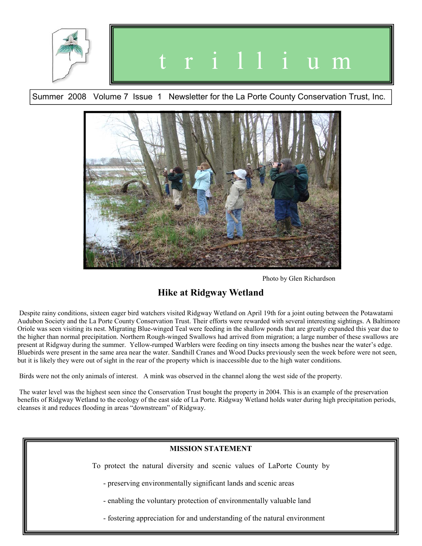





Photo by Glen Richardson

# **Hike at Ridgway Wetland**

 Despite rainy conditions, sixteen eager bird watchers visited Ridgway Wetland on April 19th for a joint outing between the Potawatami Audubon Society and the La Porte County Conservation Trust. Their efforts were rewarded with several interesting sightings. A Baltimore Oriole was seen visiting its nest. Migrating Blue-winged Teal were feeding in the shallow ponds that are greatly expanded this year due to the higher than normal precipitation. Northern Rough-winged Swallows had arrived from migration; a large number of these swallows are present at Ridgway during the summer. Yellow-rumped Warblers were feeding on tiny insects among the bushes near the water's edge. Bluebirds were present in the same area near the water. Sandhill Cranes and Wood Ducks previously seen the week before were not seen, but it is likely they were out of sight in the rear of the property which is inaccessible due to the high water conditions.

Birds were not the only animals of interest. A mink was observed in the channel along the west side of the property.

 The water level was the highest seen since the Conservation Trust bought the property in 2004. This is an example of the preservation benefits of Ridgway Wetland to the ecology of the east side of La Porte. Ridgway Wetland holds water during high precipitation periods, cleanses it and reduces flooding in areas "downstream" of Ridgway.

# **MISSION STATEMENT**  To protect the natural diversity and scenic values of LaPorte County by - preserving environmentally significant lands and scenic areas - enabling the voluntary protection of environmentally valuable land - fostering appreciation for and understanding of the natural environment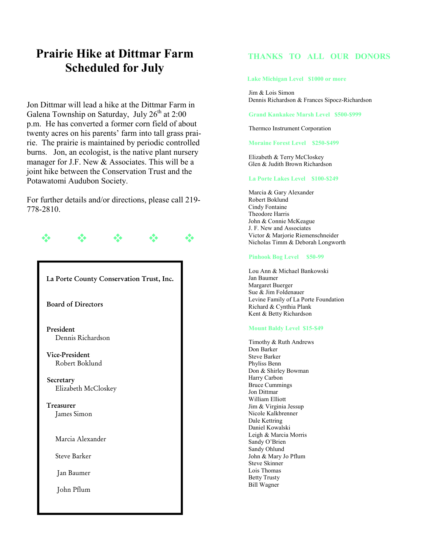# **Prairie Hike at Dittmar Farm Scheduled for July**

Jon Dittmar will lead a hike at the Dittmar Farm in Galena Township on Saturday, July 26<sup>th</sup> at 2:00 p.m. He has converted a former corn field of about twenty acres on his parents' farm into tall grass prairie. The prairie is maintained by periodic controlled burns. Jon, an ecologist, is the native plant nursery manager for J.F. New & Associates. This will be a joint hike between the Conservation Trust and the Potawatomi Audubon Society.

For further details and/or directions, please call 219- 778-2810.



## **THANKS TO ALL OUR DONORS**

**Lake Michigan Level \$1000 or more**

 Jim & Lois Simon Dennis Richardson & Frances Sipocz-Richardson

 **Grand Kankakee Marsh Level \$500-\$999**

Thermco Instrument Corporation

 **Moraine Forest Level \$250-\$499** 

 Elizabeth & Terry McCloskey Glen & Judith Brown Richardson

#### **La Porte Lakes Level \$100-\$249**

 Marcia & Gary Alexander Robert Boklund Cindy Fontaine Theodore Harris John & Connie McKeague J. F. New and Associates Victor & Marjorie Riemenschneider Nicholas Timm & Deborah Longworth

#### **Pinhook Bog Level \$50-99**

 Lou Ann & Michael Bankowski Jan Baumer Margaret Buerger Sue & Jim Foldenauer Levine Family of La Porte Foundation Richard & Cynthia Plank Kent & Betty Richardson

#### **Mount Baldy Level \$15-\$49**

 Timothy & Ruth Andrews Don Barker Steve Barker Phyliss Benn Don & Shirley Bowman Harry Carbon Bruce Cummings Jon Dittmar William Elliott Jim & Virginia Jessup Nicole Kalkbrenner Dale Kettring Daniel Kowalski Leigh & Marcia Morris Sandy O'Brien Sandy Ohlund John & Mary Jo Pflum Steve Skinner Lois Thomas Betty Trusty Bill Wagner